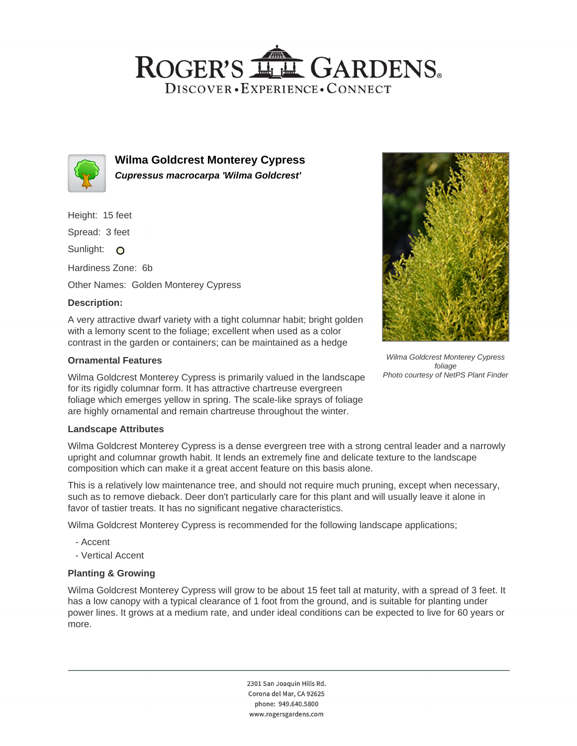# ROGER'S LL GARDENS. DISCOVER · EXPERIENCE · CONNECT



**Wilma Goldcrest Monterey Cypress Cupressus macrocarpa 'Wilma Goldcrest'**

Height: 15 feet

Spread: 3 feet

Sunlight: O

Hardiness Zone: 6b

Other Names: Golden Monterey Cypress

## **Description:**

A very attractive dwarf variety with a tight columnar habit; bright golden with a lemony scent to the foliage; excellent when used as a color contrast in the garden or containers; can be maintained as a hedge

## **Ornamental Features**

Wilma Goldcrest Monterey Cypress is primarily valued in the landscape for its rigidly columnar form. It has attractive chartreuse evergreen foliage which emerges yellow in spring. The scale-like sprays of foliage are highly ornamental and remain chartreuse throughout the winter.

### **Landscape Attributes**

Wilma Goldcrest Monterey Cypress is a dense evergreen tree with a strong central leader and a narrowly upright and columnar growth habit. It lends an extremely fine and delicate texture to the landscape composition which can make it a great accent feature on this basis alone.

This is a relatively low maintenance tree, and should not require much pruning, except when necessary, such as to remove dieback. Deer don't particularly care for this plant and will usually leave it alone in favor of tastier treats. It has no significant negative characteristics.

Wilma Goldcrest Monterey Cypress is recommended for the following landscape applications;

- Accent
- Vertical Accent

## **Planting & Growing**

Wilma Goldcrest Monterey Cypress will grow to be about 15 feet tall at maturity, with a spread of 3 feet. It has a low canopy with a typical clearance of 1 foot from the ground, and is suitable for planting under power lines. It grows at a medium rate, and under ideal conditions can be expected to live for 60 years or more.

> 2301 San Joaquin Hills Rd. Corona del Mar, CA 92625 phone: 949.640.5800 www.rogersgardens.com



Wilma Goldcrest Monterey Cypress foliage Photo courtesy of NetPS Plant Finder